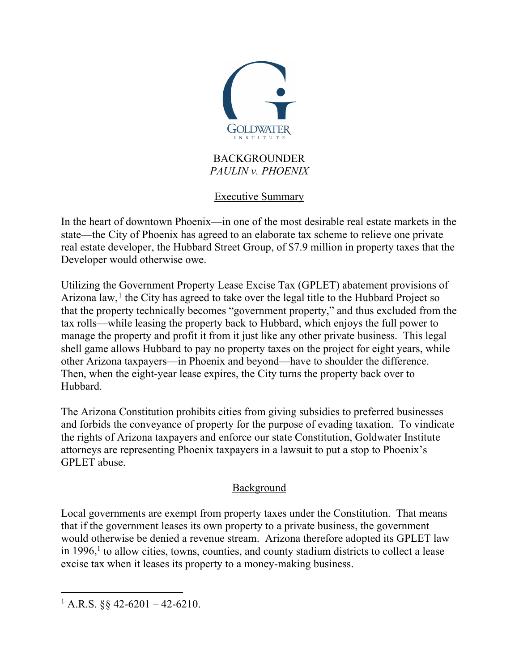

#### BACKGROUNDER *PAULIN v. PHOENIX*

Executive Summary

In the heart of downtown Phoenix—in one of the most desirable real estate markets in the state—the City of Phoenix has agreed to an elaborate tax scheme to relieve one private real estate developer, the Hubbard Street Group, of \$7.9 million in property taxes that the Developer would otherwise owe.

Utilizing the Government Property Lease Excise Tax (GPLET) abatement provisions of Arizona law,<sup>[1](#page-0-0)</sup> the City has agreed to take over the legal title to the Hubbard Project so that the property technically becomes "government property," and thus excluded from the tax rolls—while leasing the property back to Hubbard, which enjoys the full power to manage the property and profit it from it just like any other private business. This legal shell game allows Hubbard to pay no property taxes on the project for eight years, while other Arizona taxpayers—in Phoenix and beyond—have to shoulder the difference. Then, when the eight-year lease expires, the City turns the property back over to Hubbard.

The Arizona Constitution prohibits cities from giving subsidies to preferred businesses and forbids the conveyance of property for the purpose of evading taxation. To vindicate the rights of Arizona taxpayers and enforce our state Constitution, Goldwater Institute attorneys are representing Phoenix taxpayers in a lawsuit to put a stop to Phoenix's GPLET abuse.

# Background

Local governments are exempt from property taxes under the Constitution. That means that if the government leases its own property to a private business, the government would otherwise be denied a revenue stream. Arizona therefore adopted its GPLET law in  $1996$ ,<sup>1</sup> to allow cities, towns, counties, and county stadium districts to collect a lease excise tax when it leases its property to a money-making business.

<span id="page-0-0"></span><sup>&</sup>lt;sup>1</sup> A.R.S. §§ 42-6201 – 42-6210.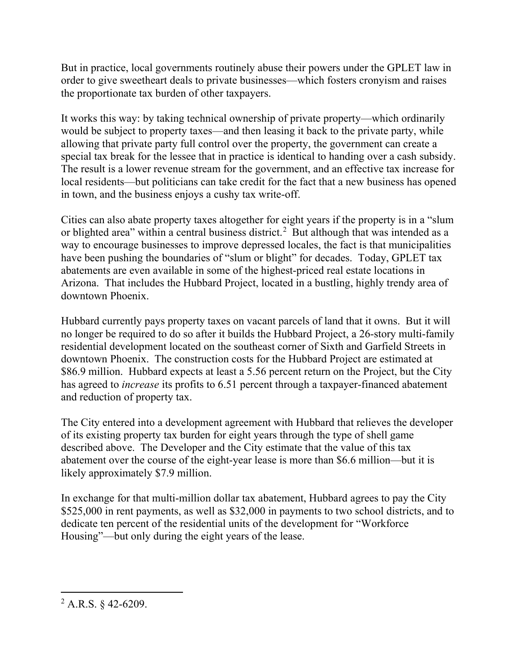But in practice, local governments routinely abuse their powers under the GPLET law in order to give sweetheart deals to private businesses—which fosters cronyism and raises the proportionate tax burden of other taxpayers.

It works this way: by taking technical ownership of private property—which ordinarily would be subject to property taxes—and then leasing it back to the private party, while allowing that private party full control over the property, the government can create a special tax break for the lessee that in practice is identical to handing over a cash subsidy. The result is a lower revenue stream for the government, and an effective tax increase for local residents—but politicians can take credit for the fact that a new business has opened in town, and the business enjoys a cushy tax write-off.

Cities can also abate property taxes altogether for eight years if the property is in a "slum or blighted area" within a central business district.<sup>[2](#page-1-0)</sup> But although that was intended as a way to encourage businesses to improve depressed locales, the fact is that municipalities have been pushing the boundaries of "slum or blight" for decades. Today, GPLET tax abatements are even available in some of the highest-priced real estate locations in Arizona. That includes the Hubbard Project, located in a bustling, highly trendy area of downtown Phoenix.

Hubbard currently pays property taxes on vacant parcels of land that it owns. But it will no longer be required to do so after it builds the Hubbard Project, a 26-story multi-family residential development located on the southeast corner of Sixth and Garfield Streets in downtown Phoenix. The construction costs for the Hubbard Project are estimated at \$86.9 million. Hubbard expects at least a 5.56 percent return on the Project, but the City has agreed to *increase* its profits to 6.51 percent through a taxpayer-financed abatement and reduction of property tax.

The City entered into a development agreement with Hubbard that relieves the developer of its existing property tax burden for eight years through the type of shell game described above. The Developer and the City estimate that the value of this tax abatement over the course of the eight-year lease is more than \$6.6 million—but it is likely approximately \$7.9 million.

In exchange for that multi-million dollar tax abatement, Hubbard agrees to pay the City \$525,000 in rent payments, as well as \$32,000 in payments to two school districts, and to dedicate ten percent of the residential units of the development for "Workforce Housing"—but only during the eight years of the lease.

<span id="page-1-0"></span> $^{2}$  A.R.S. § 42-6209.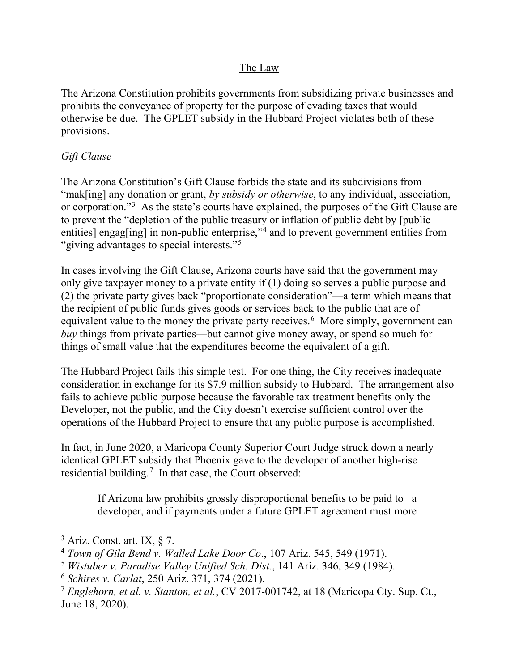### The Law

The Arizona Constitution prohibits governments from subsidizing private businesses and prohibits the conveyance of property for the purpose of evading taxes that would otherwise be due. The GPLET subsidy in the Hubbard Project violates both of these provisions.

## *Gift Clause*

The Arizona Constitution's Gift Clause forbids the state and its subdivisions from "mak[ing] any donation or grant, *by subsidy or otherwise*, to any individual, association, or corporation."<sup>[3](#page-2-0)</sup> As the state's courts have explained, the purposes of the Gift Clause are to prevent the "depletion of the public treasury or inflation of public debt by [public entities] engag[ing] in non-public enterprise,"<sup>[4](#page-2-1)</sup> and to prevent government entities from "giving advantages to special interests."<sup>[5](#page-2-2)</sup>

In cases involving the Gift Clause, Arizona courts have said that the government may only give taxpayer money to a private entity if (1) doing so serves a public purpose and (2) the private party gives back "proportionate consideration"—a term which means that the recipient of public funds gives goods or services back to the public that are of equivalent value to the money the private party receives.<sup>[6](#page-2-3)</sup> More simply, government can *buy* things from private parties—but cannot give money away, or spend so much for things of small value that the expenditures become the equivalent of a gift.

The Hubbard Project fails this simple test. For one thing, the City receives inadequate consideration in exchange for its \$7.9 million subsidy to Hubbard. The arrangement also fails to achieve public purpose because the favorable tax treatment benefits only the Developer, not the public, and the City doesn't exercise sufficient control over the operations of the Hubbard Project to ensure that any public purpose is accomplished.

In fact, in June 2020, a Maricopa County Superior Court Judge struck down a nearly identical GPLET subsidy that Phoenix gave to the developer of another high-rise residential building.<sup>[7](#page-2-4)</sup> In that case, the Court observed:

If Arizona law prohibits grossly disproportional benefits to be paid to a developer, and if payments under a future GPLET agreement must more

<span id="page-2-0"></span> $3$  Ariz. Const. art. IX,  $\S$  7.

<span id="page-2-1"></span><sup>4</sup> *Town of Gila Bend v. Walled Lake Door Co*., 107 Ariz. 545, 549 (1971).

<span id="page-2-2"></span><sup>5</sup> *Wistuber v. Paradise Valley Unified Sch. Dist.*, 141 Ariz. 346, 349 (1984).

<span id="page-2-3"></span><sup>6</sup> *Schires v. Carlat*, 250 Ariz. 371, 374 (2021).

<span id="page-2-4"></span><sup>7</sup> *Englehorn, et al. v. Stanton, et al.*, CV 2017-001742, at 18 (Maricopa Cty. Sup. Ct., June 18, 2020).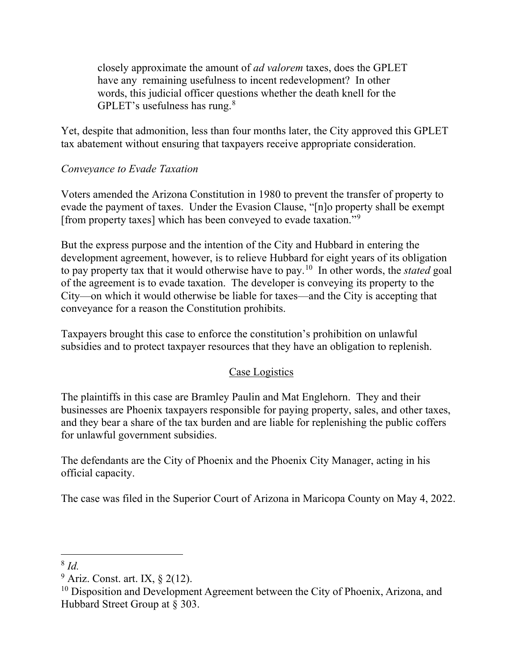closely approximate the amount of *ad valorem* taxes, does the GPLET have any remaining usefulness to incent redevelopment? In other words, this judicial officer questions whether the death knell for the GPLET's usefulness has rung. $8$ 

Yet, despite that admonition, less than four months later, the City approved this GPLET tax abatement without ensuring that taxpayers receive appropriate consideration.

# *Conveyance to Evade Taxation*

Voters amended the Arizona Constitution in 1980 to prevent the transfer of property to evade the payment of taxes. Under the Evasion Clause, "[n]o property shall be exempt [from property taxes] which has been conveyed to evade taxation."[9](#page-3-1)

But the express purpose and the intention of the City and Hubbard in entering the development agreement, however, is to relieve Hubbard for eight years of its obligation to pay property tax that it would otherwise have to pay.[10](#page-3-2) In other words, the *stated* goal of the agreement is to evade taxation. The developer is conveying its property to the City—on which it would otherwise be liable for taxes—and the City is accepting that conveyance for a reason the Constitution prohibits.

Taxpayers brought this case to enforce the constitution's prohibition on unlawful subsidies and to protect taxpayer resources that they have an obligation to replenish.

# Case Logistics

The plaintiffs in this case are Bramley Paulin and Mat Englehorn. They and their businesses are Phoenix taxpayers responsible for paying property, sales, and other taxes, and they bear a share of the tax burden and are liable for replenishing the public coffers for unlawful government subsidies.

The defendants are the City of Phoenix and the Phoenix City Manager, acting in his official capacity.

The case was filed in the Superior Court of Arizona in Maricopa County on May 4, 2022.

<span id="page-3-1"></span><span id="page-3-0"></span><sup>8</sup> *Id.* 

 $9$  Ariz. Const. art. IX,  $\S$  2(12).

<span id="page-3-2"></span><sup>&</sup>lt;sup>10</sup> Disposition and Development Agreement between the City of Phoenix, Arizona, and Hubbard Street Group at § 303.